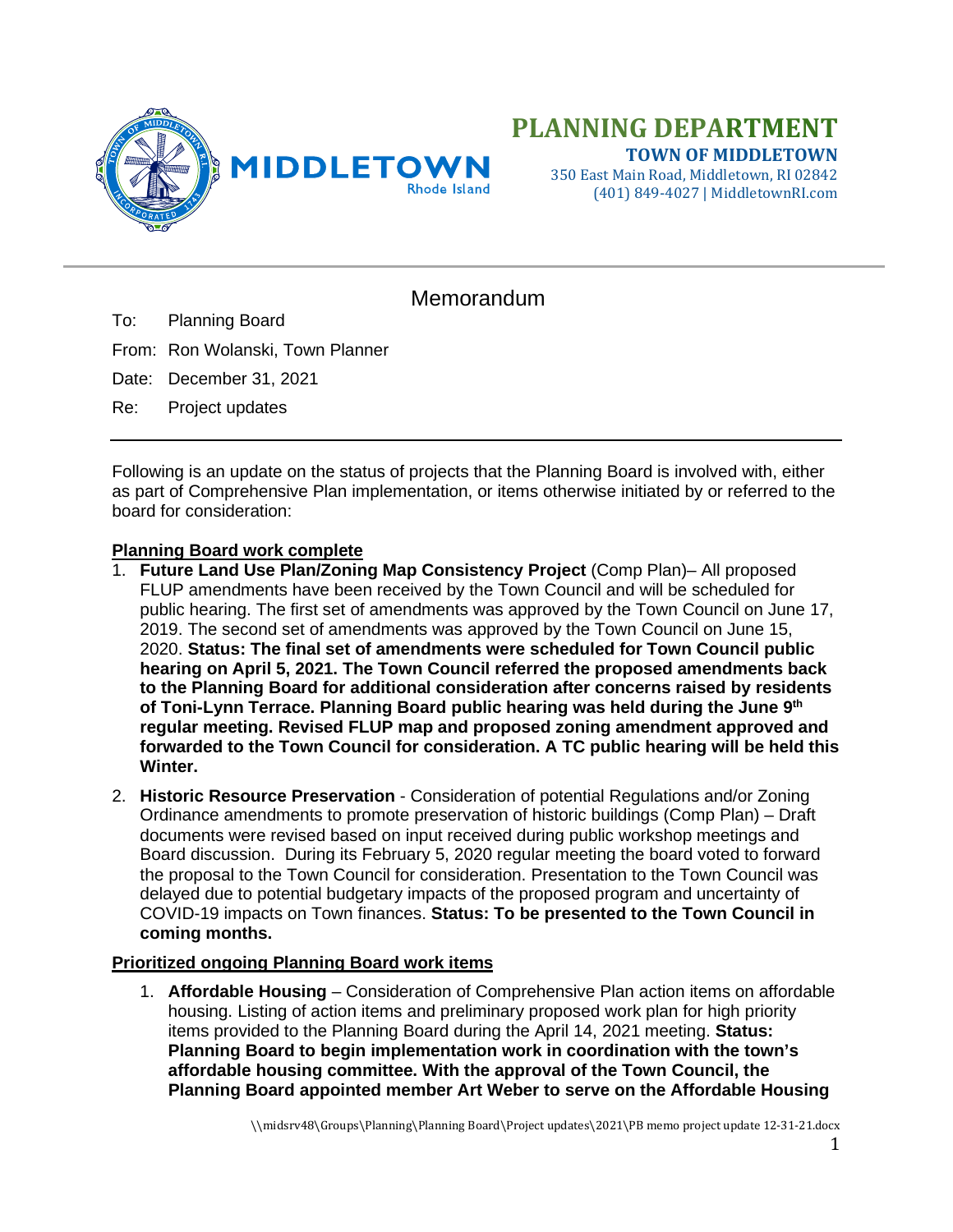

350 East Main Road, Middletown, RI 02842 (401) 849-4027 | MiddletownRI.com

## Memorandum

To: Planning Board

From: Ron Wolanski, Town Planner

Date: December 31, 2021

Re: Project updates

Following is an update on the status of projects that the Planning Board is involved with, either as part of Comprehensive Plan implementation, or items otherwise initiated by or referred to the board for consideration:

## **Planning Board work complete**

- 1. **Future Land Use Plan/Zoning Map Consistency Project** (Comp Plan)– All proposed FLUP amendments have been received by the Town Council and will be scheduled for public hearing. The first set of amendments was approved by the Town Council on June 17, 2019. The second set of amendments was approved by the Town Council on June 15, 2020. **Status: The final set of amendments were scheduled for Town Council public hearing on April 5, 2021. The Town Council referred the proposed amendments back to the Planning Board for additional consideration after concerns raised by residents of Toni-Lynn Terrace. Planning Board public hearing was held during the June 9th regular meeting. Revised FLUP map and proposed zoning amendment approved and forwarded to the Town Council for consideration. A TC public hearing will be held this Winter.**
- 2. **Historic Resource Preservation** Consideration of potential Regulations and/or Zoning Ordinance amendments to promote preservation of historic buildings (Comp Plan) – Draft documents were revised based on input received during public workshop meetings and Board discussion. During its February 5, 2020 regular meeting the board voted to forward the proposal to the Town Council for consideration. Presentation to the Town Council was delayed due to potential budgetary impacts of the proposed program and uncertainty of COVID-19 impacts on Town finances. **Status: To be presented to the Town Council in coming months.**

## **Prioritized ongoing Planning Board work items**

1. **Affordable Housing** – Consideration of Comprehensive Plan action items on affordable housing. Listing of action items and preliminary proposed work plan for high priority items provided to the Planning Board during the April 14, 2021 meeting. **Status: Planning Board to begin implementation work in coordination with the town's affordable housing committee. With the approval of the Town Council, the Planning Board appointed member Art Weber to serve on the Affordable Housing**